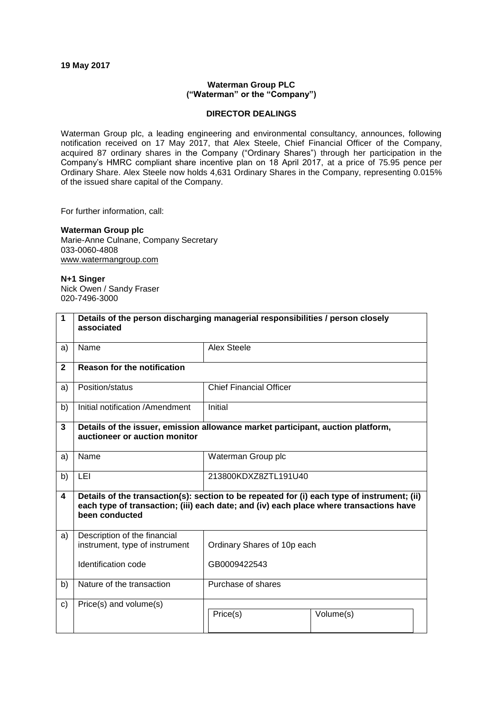#### **19 May 2017**

## **Waterman Group PLC ("Waterman" or the "Company")**

### **DIRECTOR DEALINGS**

Waterman Group plc, a leading engineering and environmental consultancy, announces, following notification received on 17 May 2017, that Alex Steele, Chief Financial Officer of the Company, acquired 87 ordinary shares in the Company ("Ordinary Shares") through her participation in the Company's HMRC compliant share incentive plan on 18 April 2017, at a price of 75.95 pence per Ordinary Share. Alex Steele now holds 4,631 Ordinary Shares in the Company, representing 0.015% of the issued share capital of the Company.

For further information, call:

# **Waterman Group plc**

Marie-Anne Culnane, Company Secretary 033-0060-4808 [www.watermangroup.com](http://www.watermangroup.com/)

#### **N+1 Singer**

Nick Owen / Sandy Fraser 020-7496-3000

| $\mathbf 1$  | Details of the person discharging managerial responsibilities / person closely<br>associated                                                                                                            |                                |           |  |  |  |
|--------------|---------------------------------------------------------------------------------------------------------------------------------------------------------------------------------------------------------|--------------------------------|-----------|--|--|--|
| a)           | Name                                                                                                                                                                                                    | <b>Alex Steele</b>             |           |  |  |  |
| $\mathbf{2}$ | <b>Reason for the notification</b>                                                                                                                                                                      |                                |           |  |  |  |
| a)           | Position/status                                                                                                                                                                                         | <b>Chief Financial Officer</b> |           |  |  |  |
| b)           | Initial notification /Amendment                                                                                                                                                                         | Initial                        |           |  |  |  |
| $\mathbf{3}$ | Details of the issuer, emission allowance market participant, auction platform,<br>auctioneer or auction monitor                                                                                        |                                |           |  |  |  |
| a)           | Name                                                                                                                                                                                                    | Waterman Group plc             |           |  |  |  |
| b)           | <b>LEI</b>                                                                                                                                                                                              | 213800KDXZ8ZTL191U40           |           |  |  |  |
| 4            | Details of the transaction(s): section to be repeated for (i) each type of instrument; (ii)<br>each type of transaction; (iii) each date; and (iv) each place where transactions have<br>been conducted |                                |           |  |  |  |
| a)           | Description of the financial<br>instrument, type of instrument                                                                                                                                          | Ordinary Shares of 10p each    |           |  |  |  |
|              | Identification code                                                                                                                                                                                     | GB0009422543                   |           |  |  |  |
| b)           | Nature of the transaction                                                                                                                                                                               | Purchase of shares             |           |  |  |  |
| C)           | Price(s) and volume(s)                                                                                                                                                                                  | Price(s)                       | Volume(s) |  |  |  |